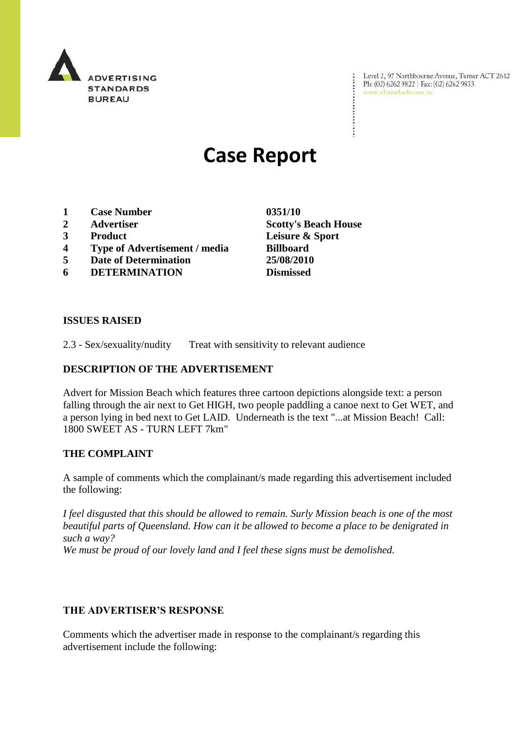

Level 2, 97 Northbourne Avenue, Turner ACT 2612<br>Ph: (02) 6262 9822 | Fax: (02) 6262 9833<br>www.adstandards.com.au

# **Case Report**

- **1 Case Number 0351/10**
- 
- 
- **4 Type of Advertisement / media Billboard**
- **5 Date of Determination 25/08/2010**
- **6 DETERMINATION Dismissed**

**2 Advertiser Scotty's Beach House 3 Product Leisure & Sport**

÷

#### **ISSUES RAISED**

2.3 - Sex/sexuality/nudity Treat with sensitivity to relevant audience

#### **DESCRIPTION OF THE ADVERTISEMENT**

Advert for Mission Beach which features three cartoon depictions alongside text: a person falling through the air next to Get HIGH, two people paddling a canoe next to Get WET, and a person lying in bed next to Get LAID. Underneath is the text "...at Mission Beach! Call: 1800 SWEET AS - TURN LEFT 7km"

## **THE COMPLAINT**

A sample of comments which the complainant/s made regarding this advertisement included the following:

*I feel disgusted that this should be allowed to remain. Surly Mission beach is one of the most beautiful parts of Queensland. How can it be allowed to become a place to be denigrated in such a way?* 

*We must be proud of our lovely land and I feel these signs must be demolished.*

## **THE ADVERTISER'S RESPONSE**

Comments which the advertiser made in response to the complainant/s regarding this advertisement include the following: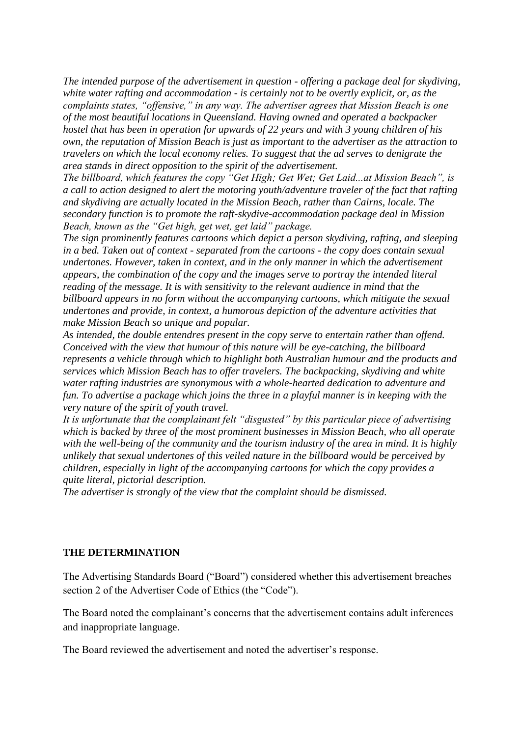*The intended purpose of the advertisement in question - offering a package deal for skydiving, white water rafting and accommodation - is certainly not to be overtly explicit, or, as the complaints states, "offensive," in any way. The advertiser agrees that Mission Beach is one of the most beautiful locations in Queensland. Having owned and operated a backpacker hostel that has been in operation for upwards of 22 years and with 3 young children of his own, the reputation of Mission Beach is just as important to the advertiser as the attraction to travelers on which the local economy relies. To suggest that the ad serves to denigrate the area stands in direct opposition to the spirit of the advertisement.* 

*The billboard, which features the copy "Get High; Get Wet; Get Laid...at Mission Beach", is a call to action designed to alert the motoring youth/adventure traveler of the fact that rafting and skydiving are actually located in the Mission Beach, rather than Cairns, locale. The secondary function is to promote the raft-skydive-accommodation package deal in Mission Beach, known as the "Get high, get wet, get laid" package.*

*The sign prominently features cartoons which depict a person skydiving, rafting, and sleeping in a bed. Taken out of context - separated from the cartoons - the copy does contain sexual undertones. However, taken in context, and in the only manner in which the advertisement appears, the combination of the copy and the images serve to portray the intended literal reading of the message. It is with sensitivity to the relevant audience in mind that the billboard appears in no form without the accompanying cartoons, which mitigate the sexual undertones and provide, in context, a humorous depiction of the adventure activities that make Mission Beach so unique and popular.*

*As intended, the double entendres present in the copy serve to entertain rather than offend. Conceived with the view that humour of this nature will be eye-catching, the billboard represents a vehicle through which to highlight both Australian humour and the products and services which Mission Beach has to offer travelers. The backpacking, skydiving and white water rafting industries are synonymous with a whole-hearted dedication to adventure and fun. To advertise a package which joins the three in a playful manner is in keeping with the very nature of the spirit of youth travel.*

*It is unfortunate that the complainant felt "disgusted" by this particular piece of advertising which is backed by three of the most prominent businesses in Mission Beach, who all operate with the well-being of the community and the tourism industry of the area in mind. It is highly unlikely that sexual undertones of this veiled nature in the billboard would be perceived by children, especially in light of the accompanying cartoons for which the copy provides a quite literal, pictorial description.*

*The advertiser is strongly of the view that the complaint should be dismissed.*

## **THE DETERMINATION**

The Advertising Standards Board ("Board") considered whether this advertisement breaches section 2 of the Advertiser Code of Ethics (the "Code").

The Board noted the complainant's concerns that the advertisement contains adult inferences and inappropriate language.

The Board reviewed the advertisement and noted the advertiser's response.